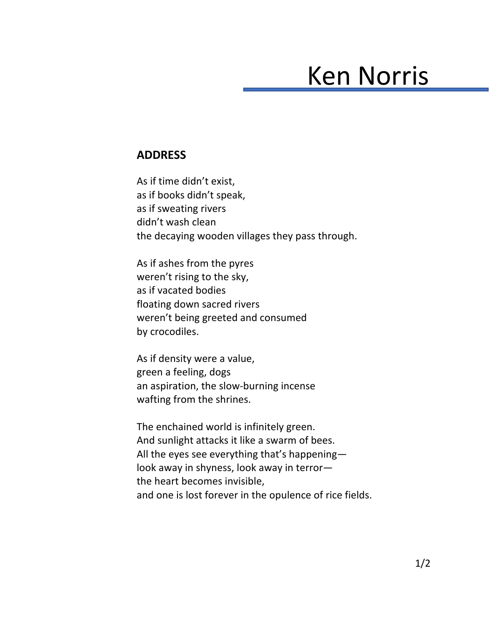## Ken Norris

## **ADDRESS**

As if time didn't exist, as if books didn't speak, as if sweating rivers didn't wash clean the decaying wooden villages they pass through.

As if ashes from the pyres weren't rising to the sky, as if vacated bodies floating down sacred rivers weren't being greeted and consumed by crocodiles.

As if density were a value, green a feeling, dogs an aspiration, the slow-burning incense wafting from the shrines.

The enchained world is infinitely green. And sunlight attacks it like a swarm of bees. All the eyes see everything that's happening look away in shyness, look away in terror the heart becomes invisible, and one is lost forever in the opulence of rice fields.